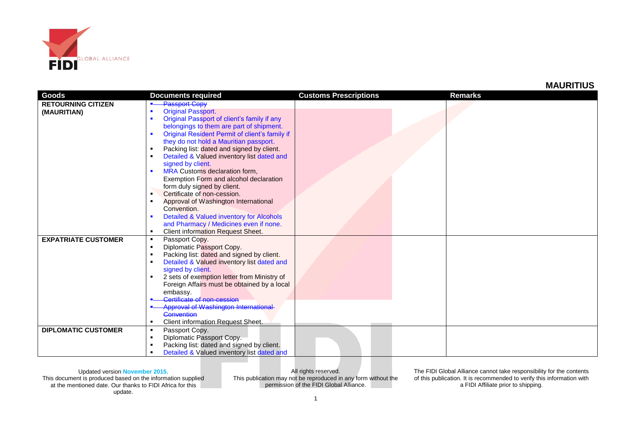

## **MAURITIUS**

| <b>Passport Copy</b><br><b>RETOURNING CITIZEN</b><br><b>Original Passport.</b><br>(MAURITIAN)<br>Original Passport of client's family if any<br>٠<br>belongings to them are part of shipment.<br>Original Resident Permit of client's family if<br>they do not hold a Mauritian passport.<br>Packing list: dated and signed by client.<br>Detailed & Valued inventory list dated and<br>signed by client.<br>MRA Customs declaration form,<br>Exemption Form and alcohol declaration<br>form duly signed by client.<br>Certificate of non-cession.<br>Approval of Washington International<br>Convention.<br>Detailed & Valued inventory for Alcohols<br>and Pharmacy / Medicines even if none.<br><b>Client information Request Sheet.</b><br><b>EXPATRIATE CUSTOMER</b><br>Passport Copy.<br>٠<br>Diplomatic Passport Copy.<br>Packing list: dated and signed by client.<br>Detailed & Valued inventory list dated and<br>signed by client.<br>2 sets of exemption letter from Ministry of<br>$\blacksquare$<br>Foreign Affairs must be obtained by a local<br>embassy.<br>Certificate of non-cession<br>Approval of Washington International<br>Convention<br>Client information Request Sheet.<br><b>DIPLOMATIC CUSTOMER</b><br>Passport Copy.<br>٠ | Goods | <b>Documents required</b> | <b>Customs Prescriptions</b> | <b>Remarks</b> |
|---------------------------------------------------------------------------------------------------------------------------------------------------------------------------------------------------------------------------------------------------------------------------------------------------------------------------------------------------------------------------------------------------------------------------------------------------------------------------------------------------------------------------------------------------------------------------------------------------------------------------------------------------------------------------------------------------------------------------------------------------------------------------------------------------------------------------------------------------------------------------------------------------------------------------------------------------------------------------------------------------------------------------------------------------------------------------------------------------------------------------------------------------------------------------------------------------------------------------------------------------------|-------|---------------------------|------------------------------|----------------|
|                                                                                                                                                                                                                                                                                                                                                                                                                                                                                                                                                                                                                                                                                                                                                                                                                                                                                                                                                                                                                                                                                                                                                                                                                                                         |       |                           |                              |                |
|                                                                                                                                                                                                                                                                                                                                                                                                                                                                                                                                                                                                                                                                                                                                                                                                                                                                                                                                                                                                                                                                                                                                                                                                                                                         |       |                           |                              |                |
|                                                                                                                                                                                                                                                                                                                                                                                                                                                                                                                                                                                                                                                                                                                                                                                                                                                                                                                                                                                                                                                                                                                                                                                                                                                         |       |                           |                              |                |
|                                                                                                                                                                                                                                                                                                                                                                                                                                                                                                                                                                                                                                                                                                                                                                                                                                                                                                                                                                                                                                                                                                                                                                                                                                                         |       |                           |                              |                |
|                                                                                                                                                                                                                                                                                                                                                                                                                                                                                                                                                                                                                                                                                                                                                                                                                                                                                                                                                                                                                                                                                                                                                                                                                                                         |       |                           |                              |                |
|                                                                                                                                                                                                                                                                                                                                                                                                                                                                                                                                                                                                                                                                                                                                                                                                                                                                                                                                                                                                                                                                                                                                                                                                                                                         |       |                           |                              |                |
|                                                                                                                                                                                                                                                                                                                                                                                                                                                                                                                                                                                                                                                                                                                                                                                                                                                                                                                                                                                                                                                                                                                                                                                                                                                         |       |                           |                              |                |
|                                                                                                                                                                                                                                                                                                                                                                                                                                                                                                                                                                                                                                                                                                                                                                                                                                                                                                                                                                                                                                                                                                                                                                                                                                                         |       |                           |                              |                |
|                                                                                                                                                                                                                                                                                                                                                                                                                                                                                                                                                                                                                                                                                                                                                                                                                                                                                                                                                                                                                                                                                                                                                                                                                                                         |       |                           |                              |                |
|                                                                                                                                                                                                                                                                                                                                                                                                                                                                                                                                                                                                                                                                                                                                                                                                                                                                                                                                                                                                                                                                                                                                                                                                                                                         |       |                           |                              |                |
|                                                                                                                                                                                                                                                                                                                                                                                                                                                                                                                                                                                                                                                                                                                                                                                                                                                                                                                                                                                                                                                                                                                                                                                                                                                         |       |                           |                              |                |
|                                                                                                                                                                                                                                                                                                                                                                                                                                                                                                                                                                                                                                                                                                                                                                                                                                                                                                                                                                                                                                                                                                                                                                                                                                                         |       |                           |                              |                |
|                                                                                                                                                                                                                                                                                                                                                                                                                                                                                                                                                                                                                                                                                                                                                                                                                                                                                                                                                                                                                                                                                                                                                                                                                                                         |       |                           |                              |                |
|                                                                                                                                                                                                                                                                                                                                                                                                                                                                                                                                                                                                                                                                                                                                                                                                                                                                                                                                                                                                                                                                                                                                                                                                                                                         |       |                           |                              |                |
|                                                                                                                                                                                                                                                                                                                                                                                                                                                                                                                                                                                                                                                                                                                                                                                                                                                                                                                                                                                                                                                                                                                                                                                                                                                         |       |                           |                              |                |
|                                                                                                                                                                                                                                                                                                                                                                                                                                                                                                                                                                                                                                                                                                                                                                                                                                                                                                                                                                                                                                                                                                                                                                                                                                                         |       |                           |                              |                |
|                                                                                                                                                                                                                                                                                                                                                                                                                                                                                                                                                                                                                                                                                                                                                                                                                                                                                                                                                                                                                                                                                                                                                                                                                                                         |       |                           |                              |                |
|                                                                                                                                                                                                                                                                                                                                                                                                                                                                                                                                                                                                                                                                                                                                                                                                                                                                                                                                                                                                                                                                                                                                                                                                                                                         |       |                           |                              |                |
|                                                                                                                                                                                                                                                                                                                                                                                                                                                                                                                                                                                                                                                                                                                                                                                                                                                                                                                                                                                                                                                                                                                                                                                                                                                         |       |                           |                              |                |
|                                                                                                                                                                                                                                                                                                                                                                                                                                                                                                                                                                                                                                                                                                                                                                                                                                                                                                                                                                                                                                                                                                                                                                                                                                                         |       |                           |                              |                |
|                                                                                                                                                                                                                                                                                                                                                                                                                                                                                                                                                                                                                                                                                                                                                                                                                                                                                                                                                                                                                                                                                                                                                                                                                                                         |       |                           |                              |                |
|                                                                                                                                                                                                                                                                                                                                                                                                                                                                                                                                                                                                                                                                                                                                                                                                                                                                                                                                                                                                                                                                                                                                                                                                                                                         |       |                           |                              |                |
|                                                                                                                                                                                                                                                                                                                                                                                                                                                                                                                                                                                                                                                                                                                                                                                                                                                                                                                                                                                                                                                                                                                                                                                                                                                         |       |                           |                              |                |
|                                                                                                                                                                                                                                                                                                                                                                                                                                                                                                                                                                                                                                                                                                                                                                                                                                                                                                                                                                                                                                                                                                                                                                                                                                                         |       |                           |                              |                |
|                                                                                                                                                                                                                                                                                                                                                                                                                                                                                                                                                                                                                                                                                                                                                                                                                                                                                                                                                                                                                                                                                                                                                                                                                                                         |       |                           |                              |                |
|                                                                                                                                                                                                                                                                                                                                                                                                                                                                                                                                                                                                                                                                                                                                                                                                                                                                                                                                                                                                                                                                                                                                                                                                                                                         |       |                           |                              |                |
|                                                                                                                                                                                                                                                                                                                                                                                                                                                                                                                                                                                                                                                                                                                                                                                                                                                                                                                                                                                                                                                                                                                                                                                                                                                         |       |                           |                              |                |
|                                                                                                                                                                                                                                                                                                                                                                                                                                                                                                                                                                                                                                                                                                                                                                                                                                                                                                                                                                                                                                                                                                                                                                                                                                                         |       |                           |                              |                |
|                                                                                                                                                                                                                                                                                                                                                                                                                                                                                                                                                                                                                                                                                                                                                                                                                                                                                                                                                                                                                                                                                                                                                                                                                                                         |       |                           |                              |                |
|                                                                                                                                                                                                                                                                                                                                                                                                                                                                                                                                                                                                                                                                                                                                                                                                                                                                                                                                                                                                                                                                                                                                                                                                                                                         |       |                           |                              |                |
|                                                                                                                                                                                                                                                                                                                                                                                                                                                                                                                                                                                                                                                                                                                                                                                                                                                                                                                                                                                                                                                                                                                                                                                                                                                         |       | Diplomatic Passport Copy. |                              |                |
| Packing list: dated and signed by client.                                                                                                                                                                                                                                                                                                                                                                                                                                                                                                                                                                                                                                                                                                                                                                                                                                                                                                                                                                                                                                                                                                                                                                                                               |       |                           |                              |                |
| Detailed & Valued inventory list dated and                                                                                                                                                                                                                                                                                                                                                                                                                                                                                                                                                                                                                                                                                                                                                                                                                                                                                                                                                                                                                                                                                                                                                                                                              |       |                           |                              |                |

Updated version **November 2015.** This document is produced based on the information supplied at the mentioned date. Our thanks to FIDI Africa for this update.

All rights reserved. This publication may not be reproduced in any form without the permission of the FIDI Global Alliance.

The FIDI Global Alliance cannot take responsibility for the contents of this publication. It is recommended to verify this information with a FIDI Affiliate prior to shipping.